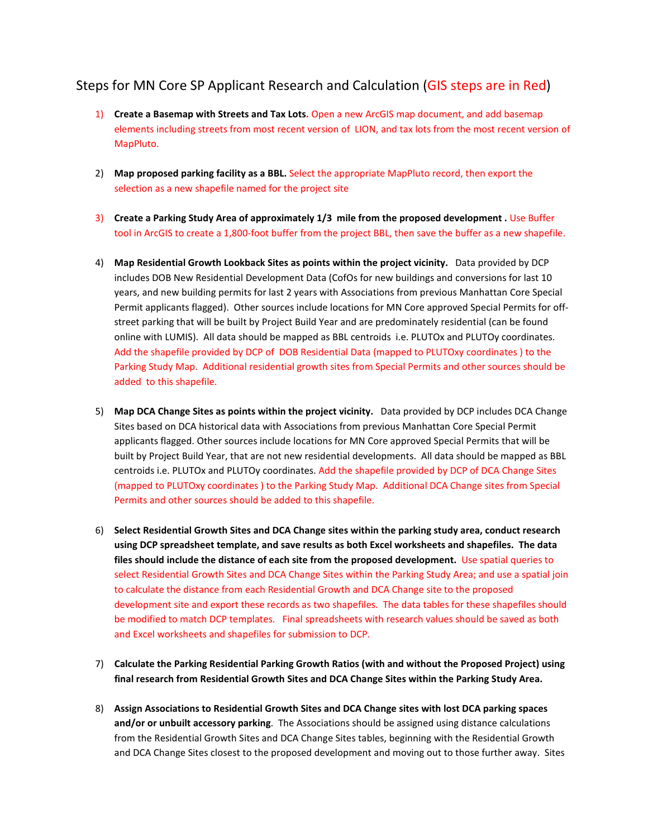## Steps for MN Core SP Applicant Research and Calculation (GIS steps are in Red)

- 1) **Create a Basemap with Streets and Tax Lots.** Open a new ArcGIS map document, and add basemap elements including streets from most recent version of LION, and tax lots from the most recent version of MapPluto.
- 2) **Map proposed parking facility as a BBL.** Select the appropriate MapPluto record, then export the selection as a new shapefile named for the project site
- 3) **Create a Parking Study Area of approximately 1/3 mile from the proposed development .** Use Buffer tool in ArcGIS to create a 1,800-foot buffer from the project BBL, then save the buffer as a new shapefile.
- 4) **Map Residential Growth Lookback Sites as points within the project vicinity.** Data provided by DCP includes DOB New Residential Development Data (CofOs for new buildings and conversions for last 10 years, and new building permits for last 2 years with Associations from previous Manhattan Core Special Permit applicants flagged). Other sources include locations for MN Core approved Special Permits for offstreet parking that will be built by Project Build Year and are predominately residential (can be found online with LUMIS). All data should be mapped as BBL centroids i.e. PLUTOx and PLUTOy coordinates. Add the shapefile provided by DCP of DOB Residential Data (mapped to PLUTOxy coordinates ) to the Parking Study Map. Additional residential growth sites from Special Permits and other sources should be added to this shapefile.
- 5) **Map DCA Change Sites as points within the project vicinity.** Data provided by DCP includes DCA Change Sites based on DCA historical data with Associations from previous Manhattan Core Special Permit applicants flagged. Other sources include locations for MN Core approved Special Permits that will be built by Project Build Year, that are not new residential developments. All data should be mapped as BBL centroids i.e. PLUTOx and PLUTOy coordinates. Add the shapefile provided by DCP of DCA Change Sites (mapped to PLUTOxy coordinates ) to the Parking Study Map. Additional DCA Change sites from Special Permits and other sources should be added to this shapefile.
- 6) **Select Residential Growth Sites and DCA Change sites within the parking study area, conduct research using DCP spreadsheet template, and save results as both Excel worksheets and shapefiles. The data files should include the distance of each site from the proposed development.** Use spatial queries to select Residential Growth Sites and DCA Change Sites within the Parking Study Area; and use a spatial join to calculate the distance from each Residential Growth and DCA Change site to the proposed development site and export these records as two shapefiles. The data tables for these shapefiles should be modified to match DCP templates. Final spreadsheets with research values should be saved as both and Excel worksheets and shapefiles for submission to DCP.
- 7) **Calculate the Parking Residential Parking Growth Ratios (with and without the Proposed Project) using final research from Residential Growth Sites and DCA Change Sites within the Parking Study Area.**
- 8) **Assign Associations to Residential Growth Sites and DCA Change sites with lost DCA parking spaces and/or or unbuilt accessory parking**. The Associations should be assigned using distance calculations from the Residential Growth Sites and DCA Change Sites tables, beginning with the Residential Growth and DCA Change Sites closest to the proposed development and moving out to those further away. Sites